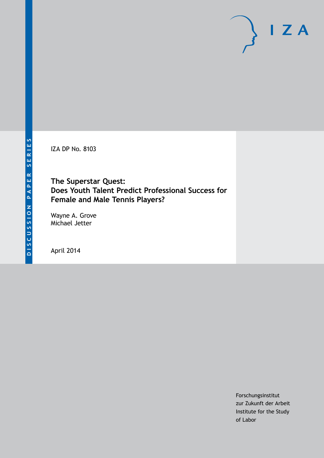IZA DP No. 8103

# **The Superstar Quest: Does Youth Talent Predict Professional Success for Female and Male Tennis Players?**

Wayne A. Grove Michael Jetter

April 2014

Forschungsinstitut zur Zukunft der Arbeit Institute for the Study of Labor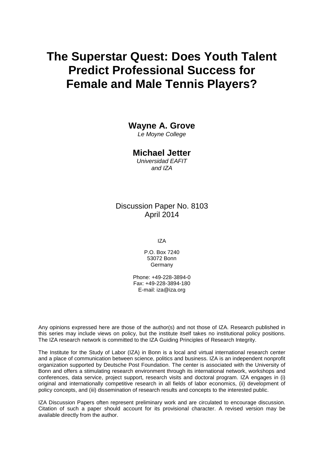# **The Superstar Quest: Does Youth Talent Predict Professional Success for Female and Male Tennis Players?**

### **Wayne A. Grove**

*Le Moyne College*

## **Michael Jetter**

*Universidad EAFIT and IZA*

## Discussion Paper No. 8103 April 2014

IZA

P.O. Box 7240 53072 Bonn **Germany** 

Phone: +49-228-3894-0 Fax: +49-228-3894-180 E-mail: [iza@iza.org](mailto:iza@iza.org)

Any opinions expressed here are those of the author(s) and not those of IZA. Research published in this series may include views on policy, but the institute itself takes no institutional policy positions. The IZA research network is committed to the IZA Guiding Principles of Research Integrity.

The Institute for the Study of Labor (IZA) in Bonn is a local and virtual international research center and a place of communication between science, politics and business. IZA is an independent nonprofit organization supported by Deutsche Post Foundation. The center is associated with the University of Bonn and offers a stimulating research environment through its international network, workshops and conferences, data service, project support, research visits and doctoral program. IZA engages in (i) original and internationally competitive research in all fields of labor economics, (ii) development of policy concepts, and (iii) dissemination of research results and concepts to the interested public.

<span id="page-1-0"></span>IZA Discussion Papers often represent preliminary work and are circulated to encourage discussion. Citation of such a paper should account for its provisional character. A revised version may be available directly from the author.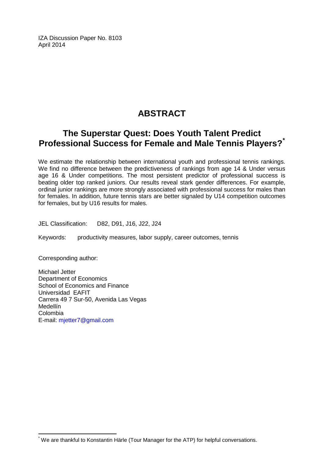IZA Discussion Paper No. 8103 April 2014

# **ABSTRACT**

# **The Superstar Quest: Does Youth Talent Predict Professional Success for Female and Male Tennis Players?[\\*](#page-1-0)**

We estimate the relationship between international youth and professional tennis rankings. We find no difference between the predictiveness of rankings from age 14 & Under versus age 16 & Under competitions. The most persistent predictor of professional success is beating older top ranked juniors. Our results reveal stark gender differences. For example, ordinal junior rankings are more strongly associated with professional success for males than for females. In addition, future tennis stars are better signaled by U14 competition outcomes for females, but by U16 results for males.

JEL Classification: D82, D91, J16, J22, J24

Keywords: productivity measures, labor supply, career outcomes, tennis

Corresponding author:

Michael Jetter Department of Economics School of Economics and Finance Universidad EAFIT Carrera 49 7 Sur-50, Avenida Las Vegas Medellín Colombia E-mail: [mjetter7@gmail.com](mailto:mjetter7@gmail.com)

\* We are thankful to Konstantin Härle (Tour Manager for the ATP) for helpful conversations.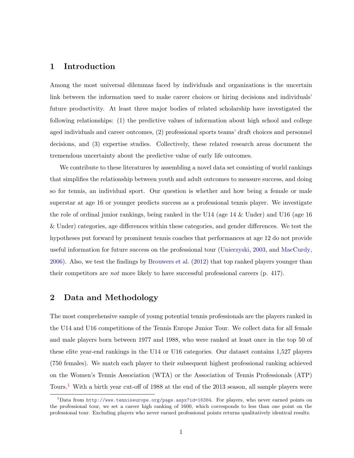#### 1 Introduction

Among the most universal dilemmas faced by individuals and organizations is the uncertain link between the information used to make career choices or hiring decisions and individuals' future productivity. At least three major bodies of related scholarship have investigated the following relationships: (1) the predictive values of information about high school and college aged individuals and career outcomes, (2) professional sports teams' draft choices and personnel decisions, and (3) expertise studies. Collectively, these related research areas document the tremendous uncertainty about the predictive value of early life outcomes.

We contribute to these literatures by assembling a novel data set consisting of world rankings that simplifies the relationship between youth and adult outcomes to measure success, and doing so for tennis, an individual sport. Our question is whether and how being a female or male superstar at age 16 or younger predicts success as a professional tennis player. We investigate the role of ordinal junior rankings, being ranked in the U14 (age 14 & Under) and U16 (age 16 & Under) categories, age differences within these categories, and gender differences. We test the hypotheses put forward by prominent tennis coaches that performances at age 12 do not provide useful information for future success on the professional tour [\(Unierzyski,](#page-9-0) [2003,](#page-9-0) and [MacCurdy,](#page-9-1) [2006\)](#page-9-1). Also, we test the findings by [Brouwers et al.](#page-9-2) [\(2012\)](#page-9-2) that top ranked players younger than their competitors are not more likely to have successful professional careers (p. 417).

#### 2 Data and Methodology

The most comprehensive sample of young potential tennis professionals are the players ranked in the U14 and U16 competitions of the Tennis Europe Junior Tour. We collect data for all female and male players born between 1977 and 1988, who were ranked at least once in the top 50 of these elite year-end rankings in the U14 or U16 categories. Our dataset contains 1,527 players (750 females). We match each player to their subsequent highest professional ranking achieved on the Women's Tennis Association (WTA) or the Association of Tennis Professionals (ATP) Tours.[1](#page-3-0) With a birth year cut-off of 1988 at the end of the 2013 season, all sample players were

<span id="page-3-0"></span><sup>&</sup>lt;sup>1</sup>Data from <http://www.tenniseurope.org/page.aspx?id=16384>. For players, who never earned points on the professional tour, we set a career high ranking of 1600, which corresponds to less than one point on the professional tour. Excluding players who never earned professional points returns qualitatively identical results.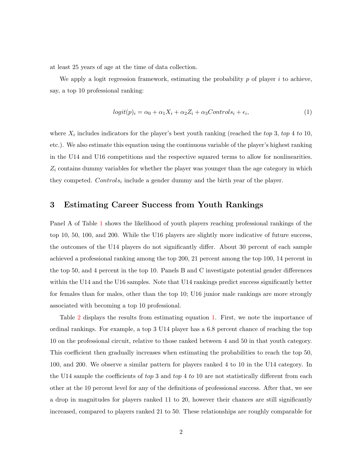at least 25 years of age at the time of data collection.

We apply a logit regression framework, estimating the probability  $p$  of player  $i$  to achieve, say, a top 10 professional ranking:

<span id="page-4-0"></span>
$$
logit(p)_i = \alpha_0 + \alpha_1 X_i + \alpha_2 Z_i + \alpha_3 Controls_i + \epsilon_i,
$$
\n(1)

where  $X_i$  includes indicators for the player's best youth ranking (reached the top 3, top 4 to 10, etc.). We also estimate this equation using the continuous variable of the player's highest ranking in the U14 and U16 competitions and the respective squared terms to allow for nonlinearities.  $Z_i$  contains dummy variables for whether the player was younger than the age category in which they competed.  $Controls_i$  include a gender dummy and the birth year of the player.

#### 3 Estimating Career Success from Youth Rankings

Panel A of Table [1](#page-5-0) shows the likelihood of youth players reaching professional rankings of the top 10, 50, 100, and 200. While the U16 players are slightly more indicative of future success, the outcomes of the U14 players do not significantly differ. About 30 percent of each sample achieved a professional ranking among the top 200, 21 percent among the top 100, 14 percent in the top 50, and 4 percent in the top 10. Panels B and C investigate potential gender differences within the U14 and the U16 samples. Note that U14 rankings predict success significantly better for females than for males, other than the top 10; U16 junior male rankings are more strongly associated with becoming a top 10 professional.

Table [2](#page-6-0) displays the results from estimating equation [1.](#page-4-0) First, we note the importance of ordinal rankings. For example, a top 3 U14 player has a 6.8 percent chance of reaching the top 10 on the professional circuit, relative to those ranked between 4 and 50 in that youth category. This coefficient then gradually increases when estimating the probabilities to reach the top 50, 100, and 200. We observe a similar pattern for players ranked 4 to 10 in the U14 category. In the U14 sample the coefficients of top 3 and top 4 to 10 are not statistically different from each other at the 10 percent level for any of the definitions of professional success. After that, we see a drop in magnitudes for players ranked 11 to 20, however their chances are still significantly increased, compared to players ranked 21 to 50. These relationships are roughly comparable for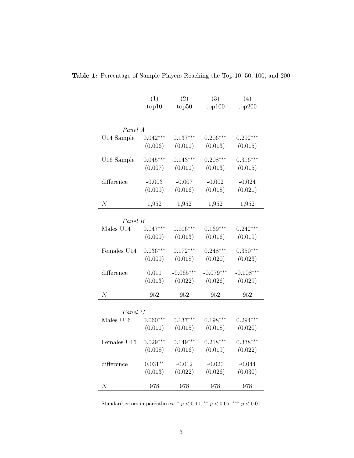|                  | (1)<br>top10 | (2)<br>top50 | (3)<br>top100 | (4)<br>top200 |  |  |  |
|------------------|--------------|--------------|---------------|---------------|--|--|--|
| Panel A          |              |              |               |               |  |  |  |
| U14 Sample       | $0.042***$   | $0.137***$   | $0.206***$    | $0.292***$    |  |  |  |
|                  | (0.006)      | (0.011)      | (0.013)       | (0.015)       |  |  |  |
| U16 Sample       | $0.045***$   | $0.143***$   | $0.208***$    | $0.316***$    |  |  |  |
|                  | (0.007)      | (0.011)      | (0.013)       | (0.015)       |  |  |  |
| difference       | $-0.003$     | $-0.007$     | $-0.002$      | $-0.024$      |  |  |  |
|                  | (0.009)      | (0.016)      | (0.018)       | (0.021)       |  |  |  |
| $\boldsymbol{N}$ | 1,952        | 1,952        | 1,952         | 1,952         |  |  |  |
| Panel B          |              |              |               |               |  |  |  |
| Males U14        | $0.047***$   | $0.106***$   | $0.169***$    | $0.242***$    |  |  |  |
|                  | (0.009)      | (0.013)      | (0.016)       | (0.019)       |  |  |  |
| Females U14      | $0.036***$   | $0.172***$   | $0.248***$    | $0.350***$    |  |  |  |
|                  | (0.009)      | (0.018)      | (0.020)       | (0.023)       |  |  |  |
| difference       | 0.011        | $-0.065***$  | $-0.079***$   | $-0.108***$   |  |  |  |
|                  | (0.013)      | (0.022)      | (0.026)       | (0.029)       |  |  |  |
| $\boldsymbol{N}$ | 952          | 952          | 952           | 952           |  |  |  |
| Panel C          |              |              |               |               |  |  |  |
| Males U16        | $0.060***$   | $0.137***$   | $0.198***$    | $0.294***$    |  |  |  |
|                  | (0.011)      | (0.015)      | (0.018)       | (0.020)       |  |  |  |
| Females U16      | $0.029***$   | $0.149***$   | $0.218***$    | $0.338***$    |  |  |  |
|                  | (0.008)      | (0.016)      | (0.019)       | (0.022)       |  |  |  |
| difference       | $0.031**$    | $-0.012$     | $-0.020$      | $-0.044$      |  |  |  |
|                  | (0.013)      | (0.022)      | (0.026)       | (0.030)       |  |  |  |
| N                | 978          | 978          | 978           | 978           |  |  |  |

<span id="page-5-0"></span>Table 1: Percentage of Sample Players Reaching the Top 10, 50, 100, and 200

Standard errors in parentheses.  $*$   $p < 0.10$ ,  $**$   $p < 0.05$ ,  $**$   $p < 0.01$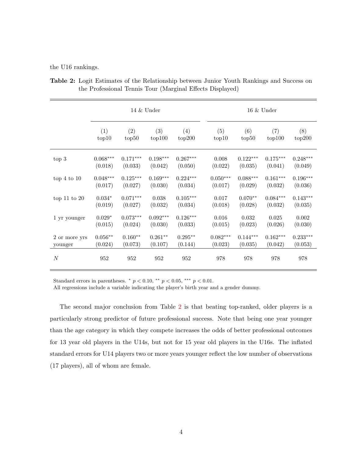the U16 rankings.

|                  | $14 \&$ Under |            |            | $16 \&$ Under |            |            |            |            |
|------------------|---------------|------------|------------|---------------|------------|------------|------------|------------|
|                  | (1)           | (2)        | (3)        | (4)           | (5)        | (6)        | (7)        | (8)        |
|                  | top10         | top50      | top100     | top200        | top10      | top50      | top100     | top200     |
| top 3            | $0.068***$    | $0.171***$ | $0.198***$ | $0.267***$    | 0.008      | $0.122***$ | $0.175***$ | $0.248***$ |
|                  | (0.018)       | (0.033)    | (0.042)    | (0.050)       | (0.022)    | (0.035)    | (0.041)    | (0.049)    |
| top $4$ to $10$  | $0.048***$    | $0.125***$ | $0.169***$ | $0.224***$    | $0.050***$ | $0.088***$ | $0.161***$ | $0.196***$ |
|                  | (0.017)       | (0.027)    | (0.030)    | (0.034)       | (0.017)    | (0.029)    | (0.032)    | (0.036)    |
| top $11$ to $20$ | $0.034*$      | $0.071***$ | 0.038      | $0.105***$    | 0.017      | $0.070**$  | $0.084***$ | $0.143***$ |
|                  | (0.019)       | (0.027)    | (0.032)    | (0.034)       | (0.018)    | (0.028)    | (0.032)    | (0.035)    |
| 1 yr younger     | $0.029*$      | $0.073***$ | $0.092***$ | $0.126***$    | 0.016      | 0.032      | 0.025      | 0.002      |
|                  | (0.015)       | (0.024)    | (0.030)    | (0.033)       | (0.015)    | (0.023)    | (0.026)    | (0.030)    |
| 2 or more yrs    | $0.056**$     | $0.160**$  | $0.261**$  | $0.295**$     | $0.082***$ | $0.144***$ | $0.162***$ | $0.233***$ |
| younger          | (0.024)       | (0.073)    | (0.107)    | (0.144)       | (0.023)    | (0.035)    | (0.042)    | (0.053)    |
| $\boldsymbol{N}$ | 952           | 952        | 952        | 952           | 978        | 978        | 978        | 978        |

<span id="page-6-0"></span>Table 2: Logit Estimates of the Relationship between Junior Youth Rankings and Success on the Professional Tennis Tour (Marginal Effects Displayed)

Standard errors in parentheses.  $p < 0.10,$  \*\*  $p < 0.05,$  \*\*\*  $p < 0.01$ .

All regressions include a variable indicating the player's birth year and a gender dummy.

The second major conclusion from Table [2](#page-6-0) is that beating top-ranked, older players is a particularly strong predictor of future professional success. Note that being one year younger than the age category in which they compete increases the odds of better professional outcomes for 13 year old players in the U14s, but not for 15 year old players in the U16s. The inflated standard errors for U14 players two or more years younger reflect the low number of observations (17 players), all of whom are female.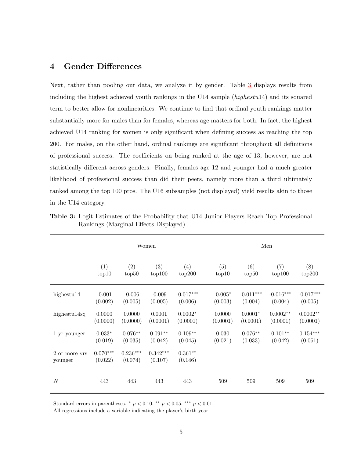#### 4 Gender Differences

Next, rather than pooling our data, we analyze it by gender. Table [3](#page-7-0) displays results from including the highest achieved youth rankings in the U14 sample (highestu14) and its squared term to better allow for nonlinearities. We continue to find that ordinal youth rankings matter substantially more for males than for females, whereas age matters for both. In fact, the highest achieved U14 ranking for women is only significant when defining success as reaching the top 200. For males, on the other hand, ordinal rankings are significant throughout all definitions of professional success. The coefficients on being ranked at the age of 13, however, are not statistically different across genders. Finally, females age 12 and younger had a much greater likelihood of professional success than did their peers, namely more than a third ultimately ranked among the top 100 pros. The U16 subsamples (not displayed) yield results akin to those in the U14 category.

|                          | Women                 |                       |                       | Men                  |           |             |             |             |
|--------------------------|-----------------------|-----------------------|-----------------------|----------------------|-----------|-------------|-------------|-------------|
|                          | (1)                   | (2)                   | (3)                   | (4)                  | (5)       | (6)         | (7)         | (8)         |
|                          | top10                 | top50                 | top100                | top200               | top10     | top50       | top100      | top200      |
| highestu $14$            | $-0.001$              | $-0.006$              | $-0.009$              | $-0.017***$          | $-0.005*$ | $-0.011***$ | $-0.016***$ | $-0.017***$ |
|                          | (0.002)               | (0.005)               | (0.005)               | (0.006)              | (0.003)   | (0.004)     | (0.004)     | (0.005)     |
| highestu $14sq$          | 0.0000                | 0.0000                | 0.0001                | $0.0002*$            | 0.0000    | $0.0001*$   | $0.0002**$  | $0.0002**$  |
|                          | (0.0000)              | (0.0000)              | (0.0001)              | (0.0001)             | (0.0001)  | (0.0001)    | (0.0001)    | (0.0001)    |
| 1 yr younger             | $0.033*$              | $0.076**$             | $0.091**$             | $0.109**$            | 0.030     | $0.076**$   | $0.101**$   | $0.154***$  |
|                          | (0.019)               | (0.035)               | (0.042)               | (0.045)              | (0.021)   | (0.033)     | (0.042)     | (0.051)     |
| 2 or more yrs<br>younger | $0.070***$<br>(0.022) | $0.236***$<br>(0.074) | $0.342***$<br>(0.107) | $0.361**$<br>(0.146) |           |             |             |             |
| $\boldsymbol{N}$         | 443                   | 443                   | 443                   | 443                  | 509       | 509         | 509         | 509         |

<span id="page-7-0"></span>Table 3: Logit Estimates of the Probability that U14 Junior Players Reach Top Professional Rankings (Marginal Effects Displayed)

Standard errors in parentheses.  $p < 0.10,$  \*\*  $p < 0.05,$  \*\*\*  $p < 0.01$ .

All regressions include a variable indicating the player's birth year.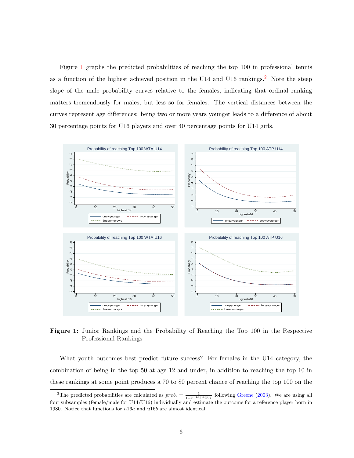Figure [1](#page-8-0) graphs the predicted probabilities of reaching the top 100 in professional tennis as a function of the highest achieved position in the U14 and U16 rankings.<sup>[2](#page-8-1)</sup> Note the steep slope of the male probability curves relative to the females, indicating that ordinal ranking matters tremendously for males, but less so for females. The vertical distances between the curves represent age differences: being two or more years younger leads to a difference of about 30 percentage points for U16 players and over 40 percentage points for U14 girls.

<span id="page-8-0"></span>

Figure 1: Junior Rankings and the Probability of Reaching the Top 100 in the Respective Professional Rankings

What youth outcomes best predict future success? For females in the U14 category, the combination of being in the top 50 at age 12 and under, in addition to reaching the top 10 in these rankings at some point produces a 70 to 80 percent chance of reaching the top 100 on the

<span id="page-8-1"></span><sup>&</sup>lt;sup>2</sup>The predicted probabilities are calculated as  $prob_i = \frac{1}{1+e^{-logit(p_i)}}$  following [Greene](#page-9-3) [\(2003\)](#page-9-3). We are using all four subsamples (female/male for U14/U16) individually and estimate the outcome for a reference player born in 1980. Notice that functions for u16a and u16b are almost identical.